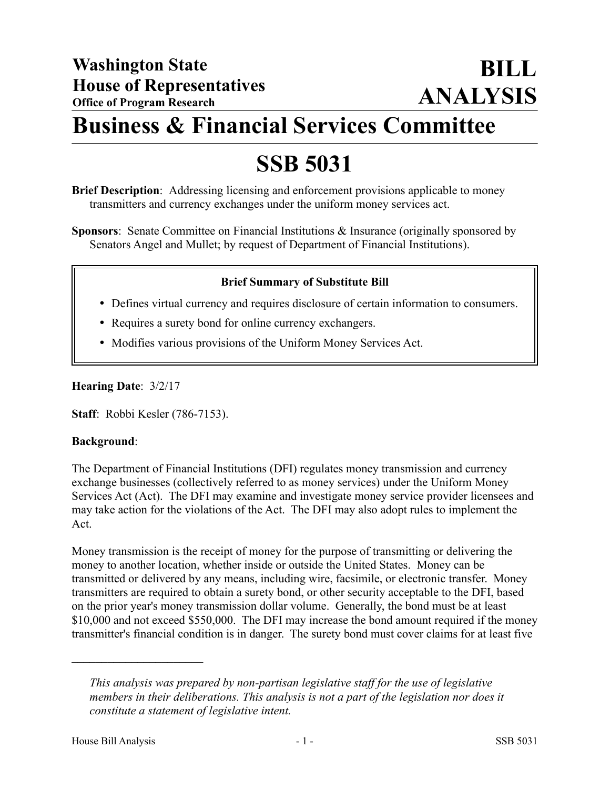## **Business & Financial Services Committee**

# **SSB 5031**

**Brief Description**: Addressing licensing and enforcement provisions applicable to money transmitters and currency exchanges under the uniform money services act.

**Sponsors**: Senate Committee on Financial Institutions & Insurance (originally sponsored by Senators Angel and Mullet; by request of Department of Financial Institutions).

## **Brief Summary of Substitute Bill**

- Defines virtual currency and requires disclosure of certain information to consumers.
- Requires a surety bond for online currency exchangers.
- Modifies various provisions of the Uniform Money Services Act.

## **Hearing Date**: 3/2/17

**Staff**: Robbi Kesler (786-7153).

#### **Background**:

The Department of Financial Institutions (DFI) regulates money transmission and currency exchange businesses (collectively referred to as money services) under the Uniform Money Services Act (Act). The DFI may examine and investigate money service provider licensees and may take action for the violations of the Act. The DFI may also adopt rules to implement the Act.

Money transmission is the receipt of money for the purpose of transmitting or delivering the money to another location, whether inside or outside the United States. Money can be transmitted or delivered by any means, including wire, facsimile, or electronic transfer. Money transmitters are required to obtain a surety bond, or other security acceptable to the DFI, based on the prior year's money transmission dollar volume. Generally, the bond must be at least \$10,000 and not exceed \$550,000. The DFI may increase the bond amount required if the money transmitter's financial condition is in danger. The surety bond must cover claims for at least five

––––––––––––––––––––––

*This analysis was prepared by non-partisan legislative staff for the use of legislative members in their deliberations. This analysis is not a part of the legislation nor does it constitute a statement of legislative intent.*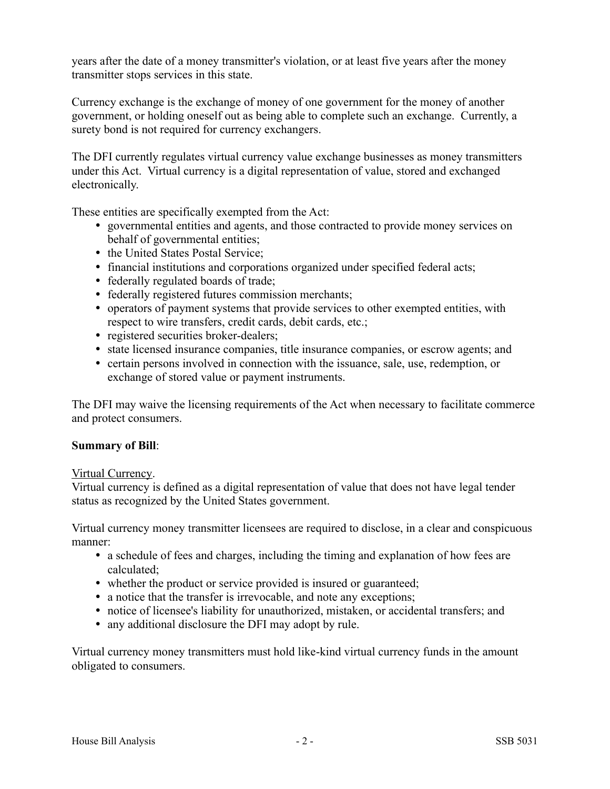years after the date of a money transmitter's violation, or at least five years after the money transmitter stops services in this state.

Currency exchange is the exchange of money of one government for the money of another government, or holding oneself out as being able to complete such an exchange. Currently, a surety bond is not required for currency exchangers.

The DFI currently regulates virtual currency value exchange businesses as money transmitters under this Act. Virtual currency is a digital representation of value, stored and exchanged electronically.

These entities are specifically exempted from the Act:

- governmental entities and agents, and those contracted to provide money services on behalf of governmental entities;
- the United States Postal Service;
- financial institutions and corporations organized under specified federal acts;
- federally regulated boards of trade;
- federally registered futures commission merchants;
- operators of payment systems that provide services to other exempted entities, with respect to wire transfers, credit cards, debit cards, etc.;
- registered securities broker-dealers;
- state licensed insurance companies, title insurance companies, or escrow agents; and
- certain persons involved in connection with the issuance, sale, use, redemption, or exchange of stored value or payment instruments.

The DFI may waive the licensing requirements of the Act when necessary to facilitate commerce and protect consumers.

## **Summary of Bill**:

#### Virtual Currency.

Virtual currency is defined as a digital representation of value that does not have legal tender status as recognized by the United States government.

Virtual currency money transmitter licensees are required to disclose, in a clear and conspicuous manner:

- a schedule of fees and charges, including the timing and explanation of how fees are calculated;
- whether the product or service provided is insured or guaranteed;
- a notice that the transfer is irrevocable, and note any exceptions;
- notice of licensee's liability for unauthorized, mistaken, or accidental transfers; and
- any additional disclosure the DFI may adopt by rule.

Virtual currency money transmitters must hold like-kind virtual currency funds in the amount obligated to consumers.